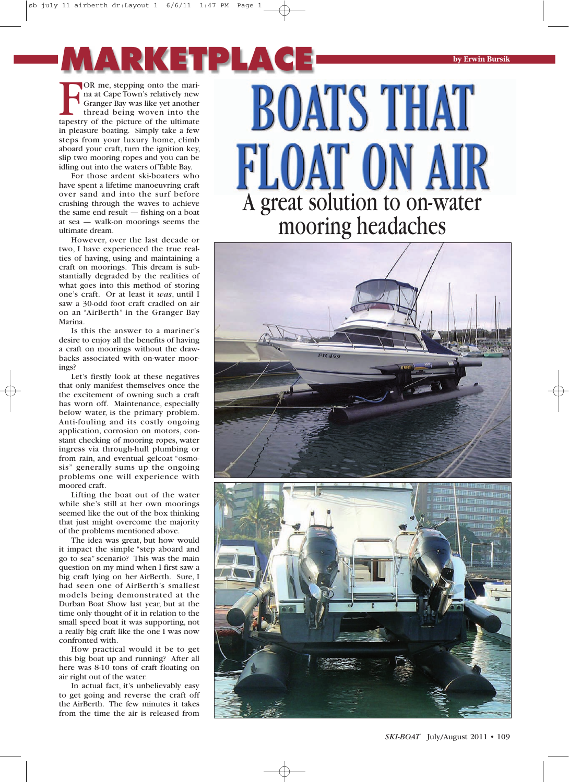FOR me, stepping onto the mari-<br>na at Cape Town's relatively new<br>Granger Bay was like yet another<br>thread being woven into the<br>tapestry of the picture of the ultimate OR me, stepping onto the marina at Cape Town's relatively new Granger Bay was like yet another thread being woven into the in pleasure boating. Simply take a few steps from your luxury home, climb aboard your craft, turn the ignition key, slip two mooring ropes and you can be idling out into the waters ofTable Bay. **MARKETPLACE**

For those ardent ski-boaters who have spent a lifetime manoeuvring craft over sand and into the surf before crashing through the waves to achieve the same end result — fishing on a boat at sea — walk-on moorings seems the ultimate dream.

However, over the last decade or two, I have experienced the true realties of having, using and maintaining a craft on moorings. This dream is substantially degraded by the realities of what goes into this method of storing one's craft. Or at least it *was*, until I saw a 30-odd foot craft cradled on air on an "AirBerth" in the Granger Bay Marina.

Is this the answer to a mariner's desire to enjoy all the benefits of having a craft on moorings without the drawbacks associated with on-water moorings?

Let's firstly look at these negatives that only manifest themselves once the the excitement of owning such a craft has worn off. Maintenance, especially below water, is the primary problem. Anti-fouling and its costly ongoing application, corrosion on motors, constant checking of mooring ropes, water ingress via through-hull plumbing or from rain, and eventual gelcoat "osmosis" generally sums up the ongoing problems one will experience with moored craft.

Lifting the boat out of the water while she's still at her own moorings seemed like the out of the box thinking that just might overcome the majority of the problems mentioned above.

The idea was great, but how would it impact the simple "step aboard and go to sea" scenario? This was the main question on my mind when I first saw a big craft lying on her AirBerth. Sure, I had seen one of AirBerth's smallest models being demonstrated at the Durban Boat Show last year, but at the time only thought of it in relation to the small speed boat it was supporting, not a really big craft like the one I was now confronted with.

How practical would it be to get this big boat up and running? After all here was 8-10 tons of craft floating on air right out of the water.

In actual fact, it's unbelievably easy to get going and reverse the craft off the AirBerth. The few minutes it takes from the time the air is released from



**by Erwin Bursik**